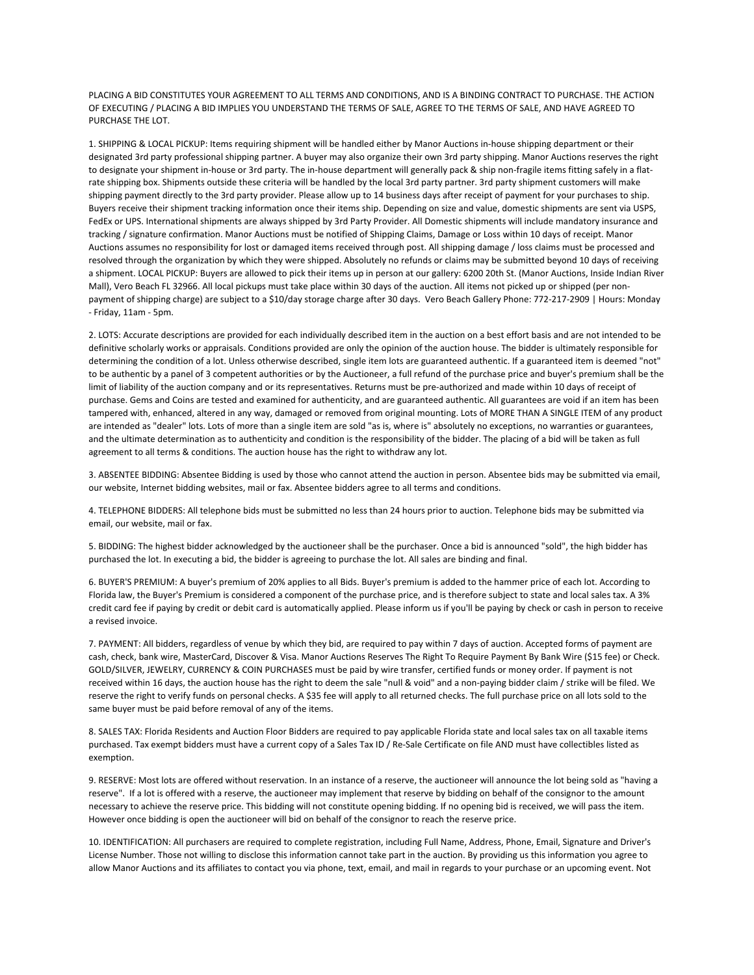PLACING A BID CONSTITUTES YOUR AGREEMENT TO ALL TERMS AND CONDITIONS, AND IS A BINDING CONTRACT TO PURCHASE. THE ACTION OF EXECUTING / PLACING A BID IMPLIES YOU UNDERSTAND THE TERMS OF SALE, AGREE TO THE TERMS OF SALE, AND HAVE AGREED TO PURCHASE THE LOT.

1. SHIPPING & LOCAL PICKUP: Items requiring shipment will be handled either by Manor Auctions in‐house shipping department or their designated 3rd party professional shipping partner. A buyer may also organize their own 3rd party shipping. Manor Auctions reserves the right to designate your shipment in-house or 3rd party. The in-house department will generally pack & ship non-fragile items fitting safely in a flatrate shipping box. Shipments outside these criteria will be handled by the local 3rd party partner. 3rd party shipment customers will make shipping payment directly to the 3rd party provider. Please allow up to 14 business days after receipt of payment for your purchases to ship. Buyers receive their shipment tracking information once their items ship. Depending on size and value, domestic shipments are sent via USPS, FedEx or UPS. International shipments are always shipped by 3rd Party Provider. All Domestic shipments will include mandatory insurance and tracking / signature confirmation. Manor Auctions must be notified of Shipping Claims, Damage or Loss within 10 days of receipt. Manor Auctions assumes no responsibility for lost or damaged items received through post. All shipping damage / loss claims must be processed and resolved through the organization by which they were shipped. Absolutely no refunds or claims may be submitted beyond 10 days of receiving a shipment. LOCAL PICKUP: Buyers are allowed to pick their items up in person at our gallery: 6200 20th St. (Manor Auctions, Inside Indian River Mall), Vero Beach FL 32966. All local pickups must take place within 30 days of the auction. All items not picked up or shipped (per nonpayment of shipping charge) are subject to a \$10/day storage charge after 30 days. Vero Beach Gallery Phone: 772‐217‐2909 | Hours: Monday ‐ Friday, 11am ‐ 5pm.

2. LOTS: Accurate descriptions are provided for each individually described item in the auction on a best effort basis and are not intended to be definitive scholarly works or appraisals. Conditions provided are only the opinion of the auction house. The bidder is ultimately responsible for determining the condition of a lot. Unless otherwise described, single item lots are guaranteed authentic. If a guaranteed item is deemed "not" to be authentic by a panel of 3 competent authorities or by the Auctioneer, a full refund of the purchase price and buyer's premium shall be the limit of liability of the auction company and or its representatives. Returns must be pre-authorized and made within 10 days of receipt of purchase. Gems and Coins are tested and examined for authenticity, and are guaranteed authentic. All guarantees are void if an item has been tampered with, enhanced, altered in any way, damaged or removed from original mounting. Lots of MORE THAN A SINGLE ITEM of any product are intended as "dealer" lots. Lots of more than a single item are sold "as is, where is" absolutely no exceptions, no warranties or guarantees, and the ultimate determination as to authenticity and condition is the responsibility of the bidder. The placing of a bid will be taken as full agreement to all terms & conditions. The auction house has the right to withdraw any lot.

3. ABSENTEE BIDDING: Absentee Bidding is used by those who cannot attend the auction in person. Absentee bids may be submitted via email, our website, Internet bidding websites, mail or fax. Absentee bidders agree to all terms and conditions.

4. TELEPHONE BIDDERS: All telephone bids must be submitted no less than 24 hours prior to auction. Telephone bids may be submitted via email, our website, mail or fax.

5. BIDDING: The highest bidder acknowledged by the auctioneer shall be the purchaser. Once a bid is announced "sold", the high bidder has purchased the lot. In executing a bid, the bidder is agreeing to purchase the lot. All sales are binding and final.

6. BUYER'S PREMIUM: A buyer's premium of 20% applies to all Bids. Buyer's premium is added to the hammer price of each lot. According to Florida law, the Buyer's Premium is considered a component of the purchase price, and is therefore subject to state and local sales tax. A 3% credit card fee if paying by credit or debit card is automatically applied. Please inform us if you'll be paying by check or cash in person to receive a revised invoice.

7. PAYMENT: All bidders, regardless of venue by which they bid, are required to pay within 7 days of auction. Accepted forms of payment are cash, check, bank wire, MasterCard, Discover & Visa. Manor Auctions Reserves The Right To Require Payment By Bank Wire (\$15 fee) or Check. GOLD/SILVER, JEWELRY, CURRENCY & COIN PURCHASES must be paid by wire transfer, certified funds or money order. If payment is not received within 16 days, the auction house has the right to deem the sale "null & void" and a non-paying bidder claim / strike will be filed. We reserve the right to verify funds on personal checks. A \$35 fee will apply to all returned checks. The full purchase price on all lots sold to the same buyer must be paid before removal of any of the items.

8. SALES TAX: Florida Residents and Auction Floor Bidders are required to pay applicable Florida state and local sales tax on all taxable items purchased. Tax exempt bidders must have a current copy of a Sales Tax ID / Re-Sale Certificate on file AND must have collectibles listed as exemption.

9. RESERVE: Most lots are offered without reservation. In an instance of a reserve, the auctioneer will announce the lot being sold as "having a reserve". If a lot is offered with a reserve, the auctioneer may implement that reserve by bidding on behalf of the consignor to the amount necessary to achieve the reserve price. This bidding will not constitute opening bidding. If no opening bid is received, we will pass the item. However once bidding is open the auctioneer will bid on behalf of the consignor to reach the reserve price.

10. IDENTIFICATION: All purchasers are required to complete registration, including Full Name, Address, Phone, Email, Signature and Driver's License Number. Those not willing to disclose this information cannot take part in the auction. By providing us this information you agree to allow Manor Auctions and its affiliates to contact you via phone, text, email, and mail in regards to your purchase or an upcoming event. Not